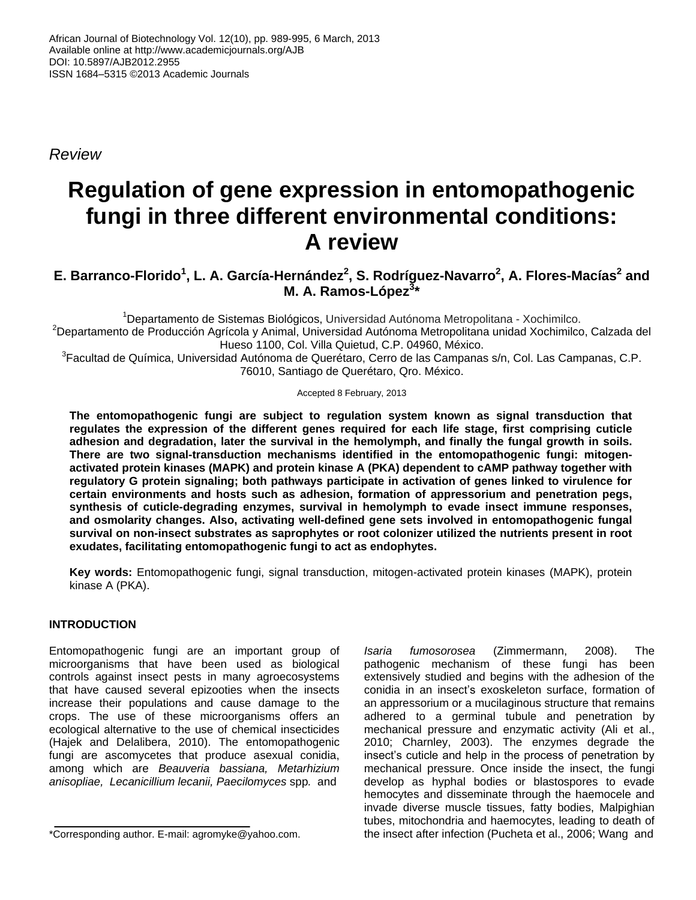*Review*

# **Regulation of gene expression in entomopathogenic fungi in three different environmental conditions: A review**

## **E. Barranco-Florido<sup>1</sup> , L. A. García-Hernández<sup>2</sup> , S. Rodríguez-Navarro<sup>2</sup> , A. Flores-Macías<sup>2</sup> and M. A. Ramos-López<sup>3</sup> \***

<sup>1</sup>Departamento de Sistemas Biológicos, Universidad Autónoma Metropolitana - Xochimilco. <sup>2</sup>Departamento de Producción Agrícola y Animal, Universidad Autónoma Metropolitana unidad Xochimilco, Calzada del Hueso 1100, Col. Villa Quietud, C.P. 04960, México.

<sup>3</sup>Facultad de Química, Universidad Autónoma de Querétaro, Cerro de las Campanas s/n, Col. Las Campanas, C.P. 76010, Santiago de Querétaro, Qro. México.

Accepted 8 February, 2013

**The entomopathogenic fungi are subject to regulation system known as signal transduction that regulates the expression of the different genes required for each life stage, first comprising cuticle adhesion and degradation, later the survival in the hemolymph, and finally the fungal growth in soils. There are two signal-transduction mechanisms identified in the entomopathogenic fungi: mitogenactivated protein kinases (MAPK) and protein kinase A (PKA) dependent to cAMP pathway together with regulatory G protein signaling; both pathways participate in activation of genes linked to virulence for certain environments and hosts such as adhesion, formation of appressorium and penetration pegs, synthesis of cuticle-degrading enzymes, survival in hemolymph to evade insect immune responses, and osmolarity changes. Also, activating well-defined gene sets involved in entomopathogenic fungal survival on non-insect substrates as saprophytes or root colonizer utilized the nutrients present in root exudates, facilitating entomopathogenic fungi to act as endophytes.**

**Key words:** Entomopathogenic fungi, signal transduction, mitogen-activated protein kinases (MAPK), protein kinase A (PKA).

### **INTRODUCTION**

Entomopathogenic fungi are an important group of microorganisms that have been used as biological controls against insect pests in many agroecosystems that have caused several epizooties when the insects increase their populations and cause damage to the crops. The use of these microorganisms offers an ecological alternative to the use of chemical insecticides (Hajek and Delalibera, 2010). The entomopathogenic fungi are ascomycetes that produce asexual conidia, among which are *Beauveria bassiana, Metarhizium anisopliae, Lecanicillium lecanii, Paecilomyces* spp*.* and

*Isaria fumosorosea* (Zimmermann, 2008). The pathogenic mechanism of these fungi has been extensively studied and begins with the adhesion of the conidia in an insect's exoskeleton surface, formation of an appressorium or a mucilaginous structure that remains adhered to a germinal tubule and penetration by mechanical pressure and enzymatic activity (Ali et al., 2010; Charnley, 2003). The enzymes degrade the insect's cuticle and help in the process of penetration by mechanical pressure. Once inside the insect, the fungi develop as hyphal bodies or blastospores to evade hemocytes and disseminate through the haemocele and invade diverse muscle tissues, fatty bodies, Malpighian tubes, mitochondria and haemocytes, leading to death of the insect after infection (Pucheta et al., 2006; Wang and

<sup>\*</sup>Corresponding author. E-mail: agromyke@yahoo.com.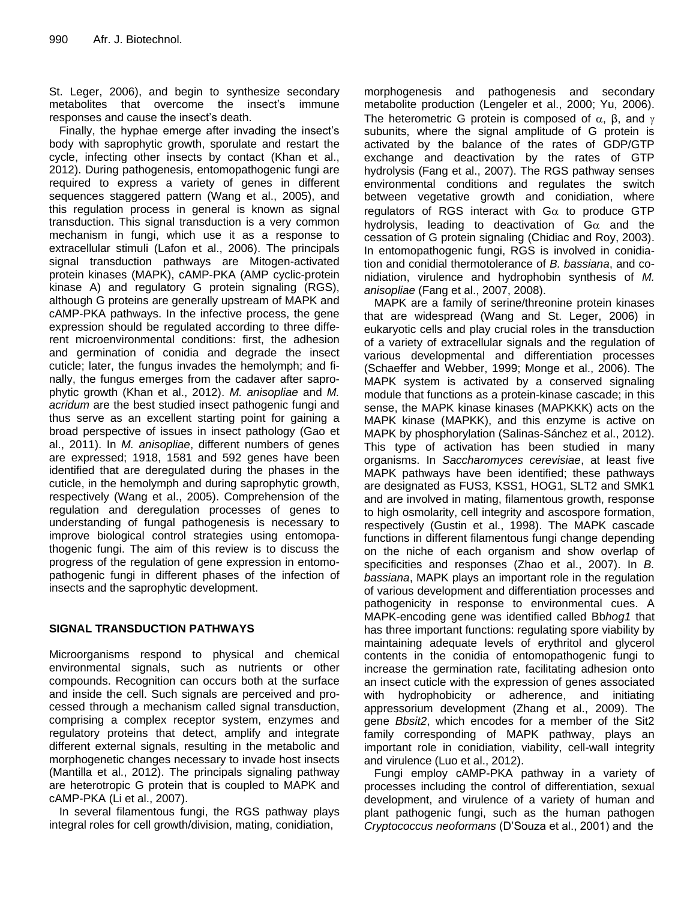St. Leger, 2006), and begin to synthesize secondary metabolites that overcome the insect's immune responses and cause the insect's death.

Finally, the hyphae emerge after invading the insect's body with saprophytic growth, sporulate and restart the cycle, infecting other insects by contact (Khan et al., 2012). During pathogenesis, entomopathogenic fungi are required to express a variety of genes in different sequences staggered pattern (Wang et al., 2005), and this regulation process in general is known as signal transduction. This signal transduction is a very common mechanism in fungi, which use it as a response to extracellular stimuli (Lafon et al., 2006). The principals signal transduction pathways are Mitogen-activated protein kinases (MAPK), cAMP-PKA (AMP cyclic-protein kinase A) and regulatory G protein signaling (RGS), although G proteins are generally upstream of MAPK and cAMP-PKA pathways. In the infective process, the gene expression should be regulated according to three different microenvironmental conditions: first, the adhesion and germination of conidia and degrade the insect cuticle; later, the fungus invades the hemolymph; and finally, the fungus emerges from the cadaver after saprophytic growth (Khan et al., 2012). *M. anisopliae* and *M. acridum* are the best studied insect pathogenic fungi and thus serve as an excellent starting point for gaining a broad perspective of issues in insect pathology (Gao et al., 2011). In *M. anisopliae*, different numbers of genes are expressed; 1918, 1581 and 592 genes have been identified that are deregulated during the phases in the cuticle, in the hemolymph and during saprophytic growth, respectively (Wang et al., 2005). Comprehension of the regulation and deregulation processes of genes to understanding of fungal pathogenesis is necessary to improve biological control strategies using entomopathogenic fungi. The aim of this review is to discuss the progress of the regulation of gene expression in entomopathogenic fungi in different phases of the infection of insects and the saprophytic development.

#### **SIGNAL TRANSDUCTION PATHWAYS**

Microorganisms respond to physical and chemical environmental signals, such as nutrients or other compounds. Recognition can occurs both at the surface and inside the cell. Such signals are perceived and processed through a mechanism called signal transduction, comprising a complex receptor system, enzymes and regulatory proteins that detect, amplify and integrate different external signals, resulting in the metabolic and morphogenetic changes necessary to invade host insects (Mantilla et al., 2012). The principals signaling pathway are heterotropic G protein that is coupled to MAPK and cAMP-PKA (Li et al., 2007).

In several filamentous fungi, the RGS pathway plays integral roles for cell growth/division, mating, conidiation,

morphogenesis and pathogenesis and secondary metabolite production (Lengeler et al., 2000; Yu, 2006). The heterometric G protein is composed of  $\alpha$ , β, and  $\gamma$ subunits, where the signal amplitude of G protein is activated by the balance of the rates of GDP/GTP exchange and deactivation by the rates of GTP hydrolysis (Fang et al., 2007). The RGS pathway senses environmental conditions and regulates the switch between vegetative growth and conidiation, where regulators of RGS interact with  $G\alpha$  to produce GTP hydrolysis, leading to deactivation of  $Ga$  and the cessation of G protein signaling (Chidiac and Roy, 2003). In entomopathogenic fungi, RGS is involved in conidiation and conidial thermotolerance of *B. bassiana*, and conidiation, virulence and hydrophobin synthesis of *M. anisopliae* (Fang et al., 2007, 2008).

MAPK are a family of serine/threonine protein kinases that are widespread (Wang and St. Leger, 2006) in eukaryotic cells and play crucial roles in the transduction of a variety of extracellular signals and the regulation of various developmental and differentiation processes (Schaeffer and Webber, 1999; Monge et al., 2006). The MAPK system is activated by a conserved signaling module that functions as a protein-kinase cascade; in this sense, the MAPK kinase kinases (MAPKKK) acts on the MAPK kinase (MAPKK), and this enzyme is active on MAPK by phosphorylation (Salinas-Sánchez et al., 2012). This type of activation has been studied in many organisms. In *Saccharomyces cerevisiae*, at least five MAPK pathways have been identified; these pathways are designated as FUS3, KSS1, HOG1, SLT2 and SMK1 and are involved in mating, filamentous growth, response to high osmolarity, cell integrity and ascospore formation, respectively (Gustin et al., 1998). The MAPK cascade functions in different filamentous fungi change depending on the niche of each organism and show overlap of specificities and responses (Zhao et al., 2007). In *B. bassiana*, MAPK plays an important role in the regulation of various development and differentiation processes and pathogenicity in response to environmental cues. A MAPK-encoding gene was identified called Bb*hog1* that has three important functions: regulating spore viability by maintaining adequate levels of erythritol and glycerol contents in the conidia of entomopathogenic fungi to increase the germination rate, facilitating adhesion onto an insect cuticle with the expression of genes associated with hydrophobicity or adherence, and initiating appressorium development (Zhang et al., 2009). The gene *Bbsit2*, which encodes for a member of the Sit2 family corresponding of MAPK pathway, plays an important role in conidiation, viability, cell-wall integrity and virulence (Luo et al., 2012).

Fungi employ cAMP-PKA pathway in a variety of processes including the control of differentiation, sexual development, and virulence of a variety of human and plant pathogenic fungi, such as the human pathogen *Cryptococcus neoformans* (D'Souza et al., 2001) and the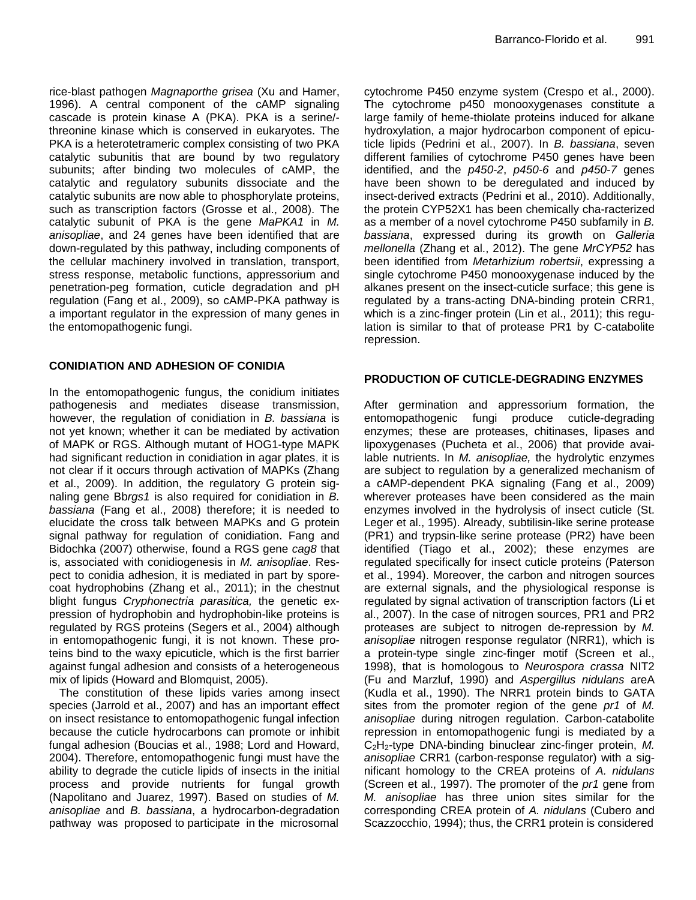rice-blast pathogen *Magnaporthe grisea* (Xu and Hamer, 1996). A central component of the cAMP signaling cascade is protein kinase A (PKA). PKA is a serine/ threonine kinase which is conserved in eukaryotes. The PKA is a heterotetrameric complex consisting of two PKA catalytic subunitis that are bound by two regulatory subunits; after binding two molecules of cAMP, the catalytic and regulatory subunits dissociate and the catalytic subunits are now able to phosphorylate proteins, such as transcription factors (Grosse et al., 2008). The catalytic subunit of PKA is the gene *MaPKA1* in *M. anisopliae*, and 24 genes have been identified that are down-regulated by this pathway, including components of the cellular machinery involved in translation, transport, stress response, metabolic functions, appressorium and penetration-peg formation, cuticle degradation and pH regulation (Fang et al., 2009), so cAMP-PKA pathway is a important regulator in the expression of many genes in the entomopathogenic fungi.

#### **CONIDIATION AND ADHESION OF CONIDIA**

In the entomopathogenic fungus, the conidium initiates pathogenesis and mediates disease transmission, however, the regulation of conidiation in *B. bassiana* is not yet known; whether it can be mediated by activation of MAPK or RGS. Although mutant of HOG1-type MAPK had significant reduction in conidiation in agar plates, it is not clear if it occurs through activation of MAPKs (Zhang et al., 2009). In addition, the regulatory G protein signaling gene Bb*rgs1* is also required for conidiation in *B. bassiana* (Fang et al., 2008) therefore; it is needed to elucidate the cross talk between MAPKs and G protein signal pathway for regulation of conidiation. Fang and Bidochka (2007) otherwise, found a RGS gene *cag8* that is, associated with conidiogenesis in *M. anisopliae*. Respect to conidia adhesion, it is mediated in part by sporecoat hydrophobins (Zhang et al., 2011); in the chestnut blight fungus *Cryphonectria parasitica,* the genetic expression of hydrophobin and hydrophobin-like proteins is regulated by RGS proteins (Segers et al., 2004) although in entomopathogenic fungi, it is not known. These proteins bind to the waxy epicuticle, which is the first barrier against fungal adhesion and consists of a heterogeneous mix of lipids (Howard and Blomquist, 2005).

The constitution of these lipids varies among insect species (Jarrold et al., 2007) and has an important effect on insect resistance to entomopathogenic fungal infection because the cuticle hydrocarbons can promote or inhibit fungal adhesion (Boucias et al., 1988; Lord and Howard, 2004). Therefore, entomopathogenic fungi must have the ability to degrade the cuticle lipids of insects in the initial process and provide nutrients for fungal growth (Napolitano and Juarez, 1997). Based on studies of *M. anisopliae* and *B. bassiana*, a hydrocarbon-degradation pathway was proposed to participate in the microsomal

cytochrome P450 enzyme system (Crespo et al., 2000). The cytochrome p450 monooxygenases constitute a large family of heme-thiolate proteins induced for alkane hydroxylation, a major hydrocarbon component of epicuticle lipids (Pedrini et al., 2007). In *B. bassiana*, seven different families of cytochrome P450 genes have been identified, and the *p450-2*, *p450-6* and *p450-7* genes have been shown to be deregulated and induced by insect-derived extracts (Pedrini et al., 2010). Additionally, the protein CYP52X1 has been chemically cha-racterized as a member of a novel cytochrome P450 subfamily in *B. bassiana*, expressed during its growth on *Galleria mellonella* (Zhang et al., 2012). The gene *MrCYP52* has been identified from *Metarhizium robertsii*, expressing a single cytochrome P450 monooxygenase induced by the alkanes present on the insect-cuticle surface; this gene is regulated by a trans-acting DNA-binding protein CRR1, which is a zinc-finger protein (Lin et al., 2011); this regulation is similar to that of protease PR1 by C-catabolite repression.

#### **PRODUCTION OF CUTICLE-DEGRADING ENZYMES**

After germination and appressorium formation, the entomopathogenic fungi produce cuticle-degrading enzymes; these are proteases, chitinases, lipases and lipoxygenases (Pucheta et al., 2006) that provide available nutrients. In *M. anisopliae,* the hydrolytic enzymes are subject to regulation by a generalized mechanism of a cAMP-dependent PKA signaling (Fang et al., 2009) wherever proteases have been considered as the main enzymes involved in the hydrolysis of insect cuticle (St. Leger et al., 1995). Already, subtilisin-like serine protease (PR1) and trypsin-like serine protease (PR2) have been identified (Tiago et al., 2002); these enzymes are regulated specifically for insect cuticle proteins (Paterson et al., 1994). Moreover, the carbon and nitrogen sources are external signals, and the physiological response is regulated by signal activation of transcription factors (Li et al., 2007). In the case of nitrogen sources, PR1 and PR2 proteases are subject to nitrogen de-repression by *M. anisopliae* nitrogen response regulator (NRR1), which is a protein-type single zinc-finger motif (Screen et al., 1998), that is homologous to *Neurospora crassa* NIT2 (Fu and Marzluf, 1990) and *Aspergillus nidulans* areA (Kudla et al., 1990). The NRR1 protein binds to GATA sites from the promoter region of the gene *pr1* of *M. anisopliae* during nitrogen regulation. Carbon-catabolite repression in entomopathogenic fungi is mediated by a C2H2-type DNA-binding binuclear zinc-finger protein, *M. anisopliae* CRR1 (carbon-response regulator) with a significant homology to the CREA proteins of *A. nidulans*  (Screen et al., 1997). The promoter of the *pr1* gene from *M. anisopliae* has three union sites similar for the corresponding CREA protein of *A. nidulans* (Cubero and Scazzocchio, 1994); thus, the CRR1 protein is considered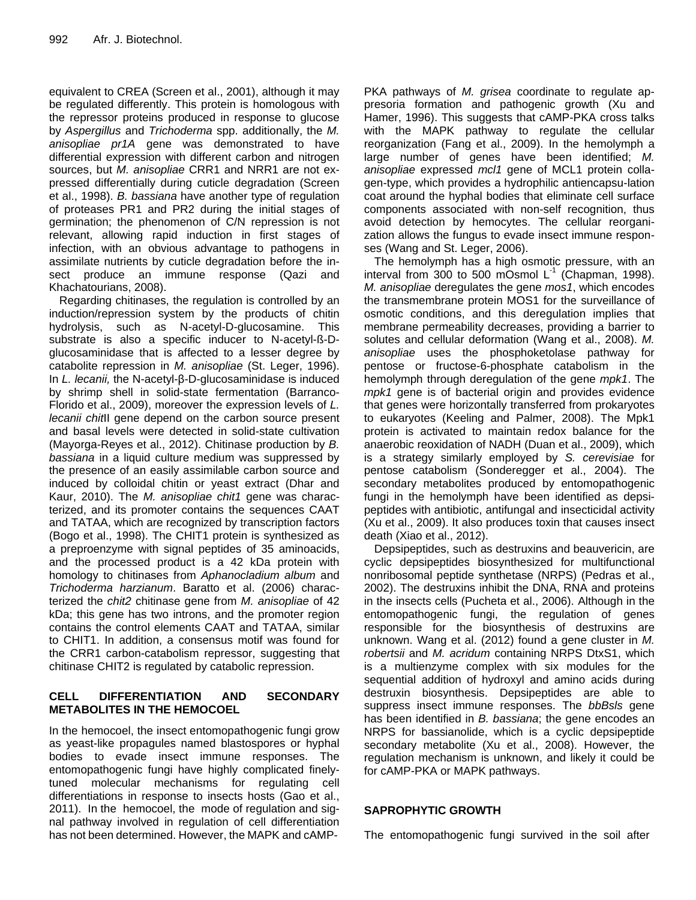equivalent to CREA (Screen et al., 2001), although it may be regulated differently. This protein is homologous with the repressor proteins produced in response to glucose by *Aspergillus* and *Trichoderma* spp. additionally, the *M. anisopliae pr1A* gene was demonstrated to have differential expression with different carbon and nitrogen sources, but *M. anisopliae* CRR1 and NRR1 are not expressed differentially during cuticle degradation (Screen et al., 1998). *B. bassiana* have another type of regulation of proteases PR1 and PR2 during the initial stages of germination; the phenomenon of C/N repression is not relevant, allowing rapid induction in first stages of infection, with an obvious advantage to pathogens in assimilate nutrients by cuticle degradation before the insect produce an immune response (Qazi and Khachatourians, 2008).

Regarding chitinases, the regulation is controlled by an induction/repression system by the products of chitin hydrolysis, such as N-acetyl-D-glucosamine. This substrate is also a specific inducer to N-acetyl-ß-Dglucosaminidase that is affected to a lesser degree by catabolite repression in *M. anisopliae* (St. Leger, 1996). In *L. lecanii,* the N-acetyl-β-D-glucosaminidase is induced by shrimp shell in solid-state fermentation (Barranco-Florido et al., 2009), moreover the expression levels of *L. lecanii chit*II gene depend on the carbon source present and basal levels were detected in solid-state cultivation (Mayorga-Reyes et al., 2012). Chitinase production by *B. bassiana* in a liquid culture medium was suppressed by the presence of an easily assimilable carbon source and induced by colloidal chitin or yeast extract (Dhar and Kaur, 2010). The *M. anisopliae chit1* gene was characterized, and its promoter contains the sequences CAAT and TATAA, which are recognized by transcription factors (Bogo et al., 1998). The CHIT1 protein is synthesized as a preproenzyme with signal peptides of 35 aminoacids, and the processed product is a 42 kDa protein with homology to chitinases from *Aphanocladium album* and *Trichoderma harzianum*. Baratto et al. (2006) characterized the *chit2* chitinase gene from *M. anisopliae* of 42 kDa; this gene has two introns, and the promoter region contains the control elements CAAT and TATAA, similar to CHIT1. In addition, a consensus motif was found for the CRR1 carbon-catabolism repressor, suggesting that chitinase CHIT2 is regulated by catabolic repression.

#### **CELL DIFFERENTIATION AND SECONDARY METABOLITES IN THE HEMOCOEL**

In the hemocoel, the insect entomopathogenic fungi grow as yeast-like propagules named blastospores or hyphal bodies to evade insect immune responses. The entomopathogenic fungi have highly complicated finelytuned molecular mechanisms for regulating cell differentiations in response to insects hosts (Gao et al., 2011). In the hemocoel, the mode of regulation and signal pathway involved in regulation of cell differentiation has not been determined. However, the MAPK and cAMP-

PKA pathways of *M. grisea* coordinate to regulate appresoria formation and pathogenic growth (Xu and Hamer, 1996). This suggests that cAMP-PKA cross talks with the MAPK pathway to regulate the cellular reorganization (Fang et al., 2009). In the hemolymph a large number of genes have been identified; *M. anisopliae* expressed *mcl1* gene of MCL1 protein collagen-type, which provides a hydrophilic antiencapsu-lation coat around the hyphal bodies that eliminate cell surface components associated with non-self recognition, thus avoid detection by hemocytes. The cellular reorganization allows the fungus to evade insect immune responses (Wang and St. Leger, 2006).

The hemolymph has a high osmotic pressure, with an interval from 300 to 500 mOsmol  $L^1$  (Chapman, 1998). *M. anisopliae* deregulates the gene *mos1*, which encodes the transmembrane protein MOS1 for the surveillance of osmotic conditions, and this deregulation implies that membrane permeability decreases, providing a barrier to solutes and cellular deformation (Wang et al., 2008). *M. anisopliae* uses the phosphoketolase pathway for pentose or fructose-6-phosphate catabolism in the hemolymph through deregulation of the gene *mpk1*. The *mpk1* gene is of bacterial origin and provides evidence that genes were horizontally transferred from prokaryotes to eukaryotes (Keeling and Palmer, 2008). The Mpk1 protein is activated to maintain redox balance for the anaerobic reoxidation of NADH (Duan et al., 2009), which is a strategy similarly employed by *S. cerevisiae* for pentose catabolism (Sonderegger et al., 2004). The secondary metabolites produced by entomopathogenic fungi in the hemolymph have been identified as depsipeptides with antibiotic, antifungal and insecticidal activity (Xu et al., 2009). It also produces toxin that causes insect death (Xiao et al., 2012).

Depsipeptides, such as destruxins and beauvericin, are cyclic depsipeptides biosynthesized for multifunctional nonribosomal peptide synthetase (NRPS) (Pedras et al., 2002). The destruxins inhibit the DNA, RNA and proteins in the insects cells (Pucheta et al., 2006). Although in the entomopathogenic fungi, the regulation of genes responsible for the biosynthesis of destruxins are unknown. Wang et al. (2012) found a gene cluster in *M. robertsii* and *M. acridum* containing NRPS DtxS1, which is a multienzyme complex with six modules for the sequential addition of hydroxyl and amino acids during destruxin biosynthesis. Depsipeptides are able to suppress insect immune responses. The *bbBsls* gene has been identified in *B. bassiana*; the gene encodes an NRPS for bassianolide, which is a cyclic depsipeptide secondary metabolite (Xu et al., 2008). However, the regulation mechanism is unknown, and likely it could be for cAMP-PKA or MAPK pathways.

#### **SAPROPHYTIC GROWTH**

The entomopathogenic fungi survived in the soil after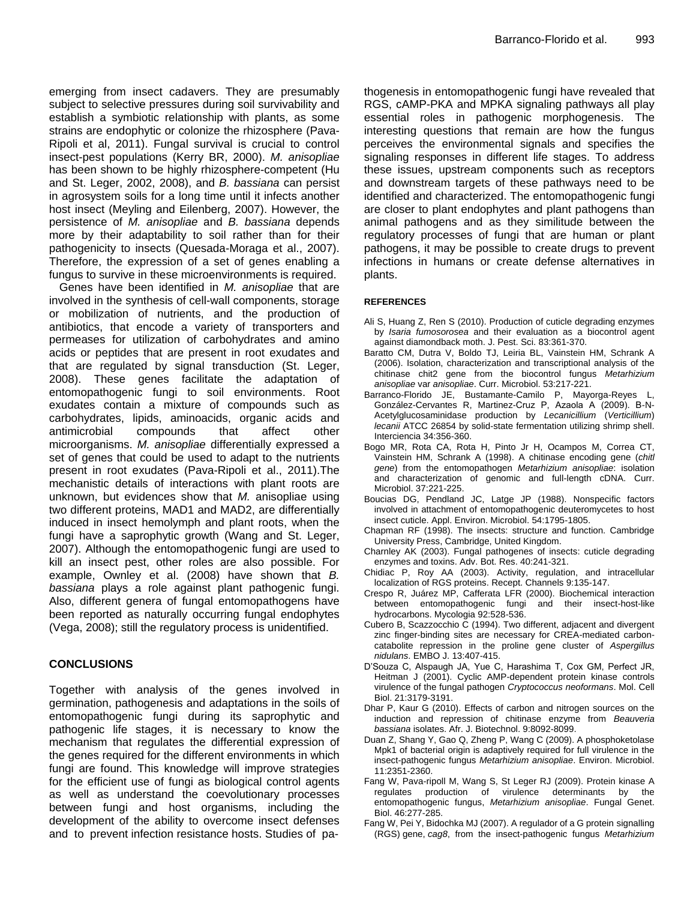emerging from insect cadavers. They are presumably subject to selective pressures during soil survivability and establish a symbiotic relationship with plants, as some strains are endophytic or colonize the rhizosphere (Pava-Ripoli et al, 2011). Fungal survival is crucial to control insect-pest populations (Kerry BR, 2000). *M. anisopliae* has been shown to be highly rhizosphere-competent (Hu and St. Leger, 2002, 2008), and *B. bassiana* can persist in agrosystem soils for a long time until it infects another host insect (Meyling and Eilenberg, 2007). However, the persistence of *M. anisopliae* and *B. bassiana* depends more by their adaptability to soil rather than for their pathogenicity to insects (Quesada-Moraga et al., 2007). Therefore, the expression of a set of genes enabling a fungus to survive in these microenvironments is required.

Genes have been identified in *M. anisopliae* that are involved in the synthesis of cell-wall components, storage or mobilization of nutrients, and the production of antibiotics, that encode a variety of transporters and permeases for utilization of carbohydrates and amino acids or peptides that are present in root exudates and that are regulated by signal transduction (St. Leger, 2008). These genes facilitate the adaptation of entomopathogenic fungi to soil environments. Root exudates contain a mixture of compounds such as carbohydrates, lipids, aminoacids, organic acids and antimicrobial compounds that affect other microorganisms. *M. anisopliae* differentially expressed a set of genes that could be used to adapt to the nutrients present in root exudates (Pava-Ripoli et al., 2011).The mechanistic details of interactions with plant roots are unknown, but evidences show that *M.* anisopliae using two different proteins, MAD1 and MAD2, are differentially induced in insect hemolymph and plant roots, when the fungi have a saprophytic growth (Wang and St. Leger, 2007). Although the entomopathogenic fungi are used to kill an insect pest, other roles are also possible. For example, Ownley et al. (2008) have shown that *B. bassiana* plays a role against plant pathogenic fungi. Also, different genera of fungal entomopathogens have been reported as naturally occurring fungal endophytes (Vega, 2008); still the regulatory process is unidentified.

#### **CONCLUSIONS**

Together with analysis of the genes involved in germination, pathogenesis and adaptations in the soils of entomopathogenic fungi during its saprophytic and pathogenic life stages, it is necessary to know the mechanism that regulates the differential expression of the genes required for the different environments in which fungi are found. This knowledge will improve strategies for the efficient use of fungi as biological control agents as well as understand the coevolutionary processes between fungi and host organisms, including the development of the ability to overcome insect defenses and to prevent infection resistance hosts. Studies of pathogenesis in entomopathogenic fungi have revealed that RGS, cAMP-PKA and MPKA signaling pathways all play essential roles in pathogenic morphogenesis. The interesting questions that remain are how the fungus perceives the environmental signals and specifies the signaling responses in different life stages. To address these issues, upstream components such as receptors and downstream targets of these pathways need to be identified and characterized. The entomopathogenic fungi are closer to plant endophytes and plant pathogens than animal pathogens and as they similitude between the regulatory processes of fungi that are human or plant pathogens, it may be possible to create drugs to prevent infections in humans or create defense alternatives in plants.

#### **REFERENCES**

- Ali S, Huang Z, Ren S (2010). Production of cuticle degrading enzymes by *Isaria fumosorosea* and their evaluation as a biocontrol agent against diamondback moth. J. Pest. Sci. 83:361-370.
- Baratto CM, Dutra V, Boldo TJ, Leiria BL, Vainstein HM, Schrank A (2006). Isolation, characterization and transcriptional analysis of the chitinase chit2 gene from the biocontrol fungus *Metarhizium anisopliae* var *anisopliae*. Curr. Microbiol. 53:217-221.
- Barranco-Florido JE, Bustamante-Camilo P, Mayorga-Reyes L, González-Cervantes R, Martinez-Cruz P, Azaola A (2009). Β-N-Acetylglucosaminidase production by *Lecanicillium* (*Verticillium*) *lecanii* ATCC 26854 by solid-state fermentation utilizing shrimp shell. Interciencia 34:356-360.
- Bogo MR, Rota CA, Rota H, Pinto Jr H, Ocampos M, Correa CT, Vainstein HM, Schrank A (1998). A chitinase encoding gene (*chitl gene*) from the entomopathogen *Metarhizium anisopliae*: isolation and characterization of genomic and full-length cDNA. Curr. Microbiol. 37:221-225.
- Boucias DG, Pendland JC, Latge JP (1988). Nonspecific factors involved in attachment of entomopathogenic deuteromycetes to host insect cuticle. Appl. Environ. Microbiol. 54:1795-1805.
- Chapman RF (1998). The insects: structure and function. Cambridge University Press, Cambridge, United Kingdom.
- Charnley AK (2003). Fungal pathogenes of insects: cuticle degrading enzymes and toxins. Adv. Bot. Res. 40:241-321.
- Chidiac P, Roy AA (2003). Activity, regulation, and intracellular localization of RGS proteins. Recept. Channels 9:135-147.
- Crespo R, Juárez MP, Cafferata LFR (2000). Biochemical interaction between entomopathogenic fungi and their insect-host-like hydrocarbons. Mycologia 92:528-536.
- Cubero B, Scazzocchio C (1994). Two different, adjacent and divergent zinc finger-binding sites are necessary for CREA-mediated carboncatabolite repression in the proline gene cluster of *Aspergillus nidulans*. EMBO J. 13:407-415.
- D'Souza C, Alspaugh JA, Yue C, Harashima T, Cox GM, Perfect JR, Heitman J (2001). Cyclic AMP-dependent protein kinase controls virulence of the fungal pathogen *Cryptococcus neoformans*. Mol. Cell Biol. 21:3179-3191.
- Dhar P, Kaur G (2010). Effects of carbon and nitrogen sources on the induction and repression of chitinase enzyme from *Beauveria bassiana* isolates. Afr. J. Biotechnol. 9:8092-8099.
- Duan Z, Shang Y, Gao Q, Zheng P, Wang C (2009). A phosphoketolase Mpk1 of bacterial origin is adaptively required for full virulence in the insect-pathogenic fungus *Metarhizium anisopliae*. Environ. Microbiol. 11:2351-2360.
- Fang W, Pava-ripoll M, Wang S, St Leger RJ (2009). Protein kinase A regulates production of virulence determinants by the entomopathogenic fungus, *Metarhizium anisopliae*. Fungal Genet. Biol. 46:277-285.
- Fang W, Pei Y, Bidochka MJ (2007). A regulador of a G protein signalling (RGS) gene, *cag8*, from the insect-pathogenic fungus *Metarhizium*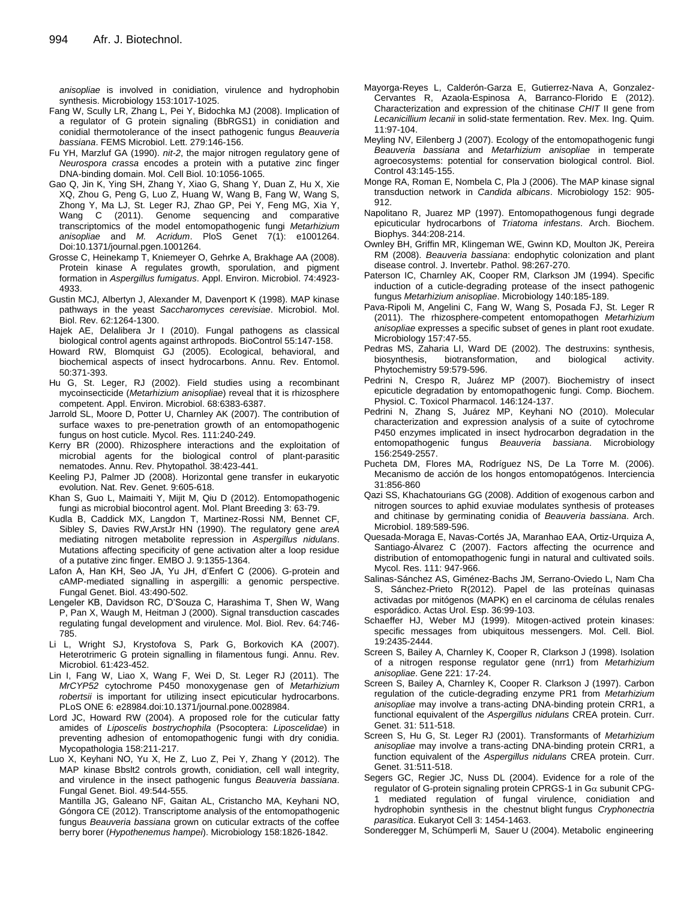*anisopliae* is involved in conidiation, virulence and hydrophobin synthesis. Microbiology 153:1017-1025.

- Fang W, Scully LR, Zhang L, Pei Y, Bidochka MJ (2008). Implication of a regulator of G protein signaling (BbRGS1) in conidiation and conidial thermotolerance of the insect pathogenic fungus *Beauveria bassiana*. FEMS Microbiol. Lett. 279:146-156.
- Fu YH, Marzluf GA (1990). *nit-2*, the major nitrogen regulatory gene of *Neurospora crassa* encodes a protein with a putative zinc finger DNA-binding domain. Mol. Cell Biol. 10:1056-1065.
- Gao Q, Jin K, Ying SH, Zhang Y, Xiao G, Shang Y, Duan Z, Hu X, Xie XQ, Zhou G, Peng G, Luo Z, Huang W, Wang B, Fang W, Wang S, Zhong Y, Ma LJ, St. Leger RJ, Zhao GP, Pei Y, Feng MG, Xia Y, Wang C (2011). Genome sequencing and comparative transcriptomics of the model entomopathogenic fungi *Metarhizium anisopliae* and *M. Acridum*. PloS Genet 7(1): e1001264. Doi:10.1371/journal.pgen.1001264.
- Grosse C, Heinekamp T, Kniemeyer O, Gehrke A, Brakhage AA (2008). Protein kinase A regulates growth, sporulation, and pigment formation in *Aspergillus fumigatus*. Appl. Environ. Microbiol. 74:4923- 4933.
- Gustin MCJ, Albertyn J, Alexander M, Davenport K (1998). MAP kinase pathways in the yeast *Saccharomyces cerevisiae*. Microbiol. Mol. Biol. Rev. 62:1264-1300.
- Hajek AE, Delalibera Jr I (2010). Fungal pathogens as classical biological control agents against arthropods. BioControl 55:147-158.
- Howard RW, Blomquist GJ (2005). Ecological, behavioral, and biochemical aspects of insect hydrocarbons. Annu. Rev. Entomol. 50:371-393.
- Hu G, St. Leger, RJ (2002). Field studies using a recombinant mycoinsecticide (*Metarhizium anisopliae*) reveal that it is rhizosphere competent. Appl. Environ. Microbiol. 68:6383-6387.
- Jarrold SL, Moore D, Potter U, Charnley AK (2007). The contribution of surface waxes to pre-penetration growth of an entomopathogenic fungus on host cuticle. Mycol. Res. 111:240-249.
- Kerry BR (2000). Rhizosphere interactions and the exploitation of microbial agents for the biological control of plant-parasitic nematodes. Annu. Rev. Phytopathol. 38:423-441.
- Keeling PJ, Palmer JD (2008). Horizontal gene transfer in eukaryotic evolution. Nat. Rev. Genet. 9:605-618.
- Khan S, Guo L, Maimaiti Y, Mijit M, Qiu D (2012). Entomopathogenic fungi as microbial biocontrol agent. Mol. Plant Breeding 3: 63-79.
- Kudla B, Caddick MX, Langdon T, Martinez-Rossi NM, Bennet CF, Sibley S, Davies RW,ArstJr HN (1990). The regulatory gene *areA* mediating nitrogen metabolite repression in *Aspergillus nidulans*. Mutations affecting specificity of gene activation alter a loop residue of a putative zinc finger. EMBO J. 9:1355-1364.
- Lafon A, Han KH, Seo JA, Yu JH, d'Enfert C (2006). G-protein and cAMP-mediated signalling in aspergilli: a genomic perspective. Fungal Genet. Biol. 43:490-502.
- Lengeler KB, Davidson RC, D'Souza C, Harashima T, Shen W, Wang P, Pan X, Waugh M, Heitman J (2000). Signal transduction cascades regulating fungal development and virulence. Mol. Biol. Rev. 64:746- 785.
- Li L, Wright SJ, Krystofova S, Park G, Borkovich KA (2007). Heterotrimeric G protein signalling in filamentous fungi. Annu. Rev. Microbiol. 61:423-452.
- Lin I, Fang W, Liao X, Wang F, Wei D, St. Leger RJ (2011). The *MrCYP52* cytochrome P450 monoxygenase gen of *Metarhizium robertsii* is important for utilizing insect epicuticular hydrocarbons. PLoS ONE 6: e28984.doi:10.1371/journal.pone.0028984.
- Lord JC, Howard RW (2004). A proposed role for the cuticular fatty amides of *Liposcelis bostrychophila* (Psocoptera: *Liposcelidae*) in preventing adhesion of entomopathogenic fungi with dry conidia. Mycopathologia 158:211-217.
- Luo X, Keyhani NO, Yu X, He Z, Luo Z, Pei Y, Zhang Y (2012). The MAP kinase Bbslt2 controls growth, conidiation, cell wall integrity, and virulence in the insect pathogenic fungus *Beauveria bassiana*. Fungal Genet. Biol. 49:544-555.
	- Mantilla JG, Galeano NF, Gaitan AL, Cristancho MA, Keyhani NO, Góngora CE (2012). Transcriptome analysis of the entomopathogenic fungus *Beauveria bassiana* grown on cuticular extracts of the coffee berry borer (*Hypothenemus hampei*). Microbiology 158:1826-1842.
- Mayorga-Reyes L, Calderón-Garza E, Gutierrez-Nava A, Gonzalez-Cervantes R, Azaola-Espinosa A, Barranco-Florido E (2012). Characterization and expression of the chitinase *CHIT* II gene from *Lecanicillium lecanii* in solid-state fermentation. Rev. Mex. Ing. Quim. 11:97-104.
- Meyling NV, Eilenberg J (2007). Ecology of the entomopathogenic fungi *Beauveria bassiana* and *Metarhizium anisopliae* in temperate agroecosystems: potential for conservation biological control. Biol. Control 43:145-155.
- Monge RA, Roman E, Nombela C, Pla J (2006). The MAP kinase signal transduction network in *Candida albicans*. Microbiology 152: 905- 912.
- Napolitano R, Juarez MP (1997). Entomopathogenous fungi degrade epicuticular hydrocarbons of *Triatoma infestans*. Arch. Biochem. Biophys. 344:208-214.
- Ownley BH, Griffin MR, Klingeman WE, Gwinn KD, Moulton JK, Pereira RM (2008). *Beauveria bassiana*: endophytic colonization and plant disease control. J. Invertebr. Pathol. 98:267-270.
- Paterson IC, Charnley AK, Cooper RM, Clarkson JM (1994). Specific induction of a cuticle-degrading protease of the insect pathogenic fungus *Metarhizium anisopliae*. Microbiology 140:185-189.
- Pava-Ripoli M, Angelini C, Fang W, Wang S, Posada FJ, St. Leger R (2011). The rhizosphere-competent entomopathogen *Metarhizium anisopliae* expresses a specific subset of genes in plant root exudate. Microbiology 157:47-55.
- Pedras MS, Zaharia LI, Ward DE (2002). The destruxins: synthesis, biosynthesis, biotransformation, and biological activity. Phytochemistry 59:579-596.
- Pedrini N, Crespo R, Juárez MP (2007). Biochemistry of insect epicuticle degradation by entomopathogenic fungi. Comp. Biochem. Physiol. C. Toxicol Pharmacol. 146:124-137.
- Pedrini N, Zhang S, Juárez MP, Keyhani NO (2010). Molecular characterization and expression analysis of a suite of cytochrome P450 enzymes implicated in insect hydrocarbon degradation in the entomopathogenic fungus *Beauveria bassiana*. Microbiology 156:2549-2557.
- Pucheta DM, Flores MA, Rodríguez NS, De La Torre M. (2006). Mecanismo de acción de los hongos entomopatógenos. Interciencia 31:856-860
- Qazi SS, Khachatourians GG (2008). Addition of exogenous carbon and nitrogen sources to aphid exuviae modulates synthesis of proteases and chitinase by germinating conidia of *Beauveria bassiana*. Arch. Microbiol. 189:589-596.
- Quesada-Moraga E, Navas-Cortés JA, Maranhao EAA, Ortiz-Urquiza A, Santiago-Álvarez C (2007). Factors affecting the ocurrence and distribution of entomopathogenic fungi in natural and cultivated soils. Mycol. Res. 111: 947-966.
- Salinas-Sánchez AS, Giménez-Bachs JM, Serrano-Oviedo L, Nam Cha S, Sánchez-Prieto R(2012). Papel de las proteínas quinasas activadas por mitógenos (MAPK) en el carcinoma de células renales esporádico. Actas Urol. Esp. 36:99-103.
- Schaeffer HJ, Weber MJ (1999). Mitogen-actived protein kinases: specific messages from ubiquitous messengers. Mol. Cell. Biol. 19:2435-2444.
- Screen S, Bailey A, Charnley K, Cooper R, Clarkson J (1998). Isolation of a nitrogen response regulator gene (nrr1) from *Metarhizium anisopliae*. Gene 221: 17-24.
- Screen S, Bailey A, Charnley K, Cooper R. Clarkson J (1997). Carbon regulation of the cuticle-degrading enzyme PR1 from *Metarhizium anisopliae* may involve a trans-acting DNA-binding protein CRR1, a functional equivalent of the *Aspergillus nidulans* CREA protein. Curr. Genet. 31: 511-518.
- Screen S, Hu G, St. Leger RJ (2001). Transformants of *Metarhizium anisopliae* may involve a trans-acting DNA-binding protein CRR1, a function equivalent of the *Aspergillus nidulans* CREA protein. Curr. Genet. 31:511-518.
- Segers GC, Regier JC, Nuss DL (2004). Evidence for a role of the regulator of G-protein signaling protein CPRGS-1 in  $Ga$  subunit CPG-1 mediated regulation of fungal virulence, conidiation and hydrophobin synthesis in the chestnut blight fungus *Cryphonectria parasitica*. Eukaryot Cell 3: 1454-1463.
- Sonderegger M, Schümperli M, Sauer U (2004). Metabolic engineering